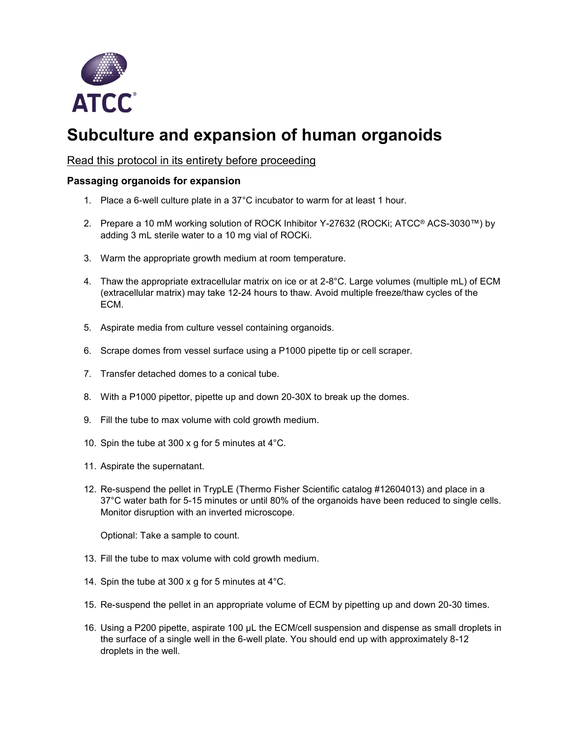

## **Subculture and expansion of human organoids**

## Read this protocol in its entirety before proceeding

## **Passaging organoids for expansion**

- 1. Place a 6-well culture plate in a 37°C incubator to warm for at least 1 hour.
- 2. Prepare a 10 mM working solution of ROCK Inhibitor Y-27632 (ROCKi; ATCC® ACS-3030™) by adding 3 mL sterile water to a 10 mg vial of ROCKi.
- 3. Warm the appropriate growth medium at room temperature.
- 4. Thaw the appropriate extracellular matrix on ice or at 2-8°C. Large volumes (multiple mL) of ECM (extracellular matrix) may take 12-24 hours to thaw. Avoid multiple freeze/thaw cycles of the ECM.
- 5. Aspirate media from culture vessel containing organoids.
- 6. Scrape domes from vessel surface using a P1000 pipette tip or cell scraper.
- 7. Transfer detached domes to a conical tube.
- 8. With a P1000 pipettor, pipette up and down 20-30X to break up the domes.
- 9. Fill the tube to max volume with cold growth medium.
- 10. Spin the tube at 300 x g for 5 minutes at 4°C.
- 11. Aspirate the supernatant.
- 12. Re-suspend the pellet in TrypLE (Thermo Fisher Scientific catalog #12604013) and place in a 37°C water bath for 5-15 minutes or until 80% of the organoids have been reduced to single cells. Monitor disruption with an inverted microscope.

Optional: Take a sample to count.

- 13. Fill the tube to max volume with cold growth medium.
- 14. Spin the tube at 300 x g for 5 minutes at 4°C.
- 15. Re-suspend the pellet in an appropriate volume of ECM by pipetting up and down 20-30 times.
- 16. Using a P200 pipette, aspirate 100 µL the ECM/cell suspension and dispense as small droplets in the surface of a single well in the 6-well plate. You should end up with approximately 8-12 droplets in the well.